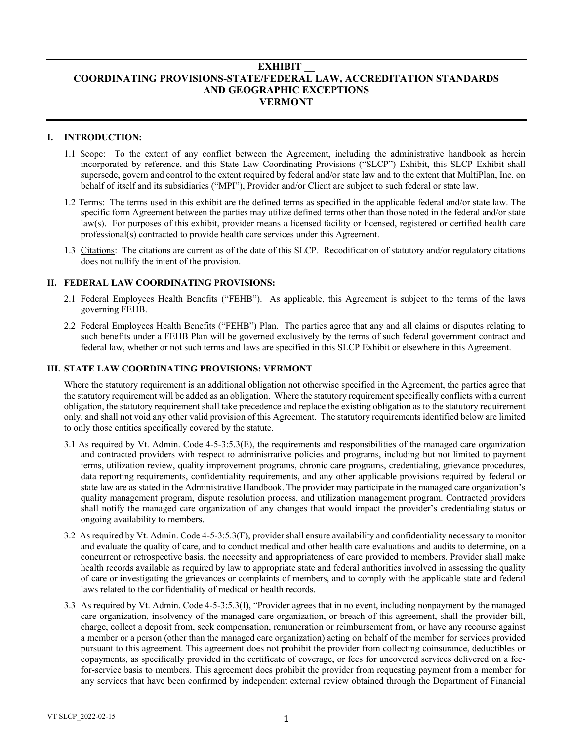## **EXHIBIT \_\_ COORDINATING PROVISIONS-STATE/FEDERAL LAW, ACCREDITATION STANDARDS AND GEOGRAPHIC EXCEPTIONS VERMONT**

## **I. INTRODUCTION:**

- 1.1 Scope: To the extent of any conflict between the Agreement, including the administrative handbook as herein incorporated by reference, and this State Law Coordinating Provisions ("SLCP") Exhibit, this SLCP Exhibit shall supersede, govern and control to the extent required by federal and/or state law and to the extent that MultiPlan, Inc. on behalf of itself and its subsidiaries ("MPI"), Provider and/or Client are subject to such federal or state law.
- 1.2 Terms: The terms used in this exhibit are the defined terms as specified in the applicable federal and/or state law. The specific form Agreement between the parties may utilize defined terms other than those noted in the federal and/or state law(s). For purposes of this exhibit, provider means a licensed facility or licensed, registered or certified health care professional(s) contracted to provide health care services under this Agreement.
- 1.3 Citations: The citations are current as of the date of this SLCP. Recodification of statutory and/or regulatory citations does not nullify the intent of the provision.

### **II. FEDERAL LAW COORDINATING PROVISIONS:**

- 2.1 Federal Employees Health Benefits ("FEHB"). As applicable, this Agreement is subject to the terms of the laws governing FEHB.
- 2.2 Federal Employees Health Benefits ("FEHB") Plan. The parties agree that any and all claims or disputes relating to such benefits under a FEHB Plan will be governed exclusively by the terms of such federal government contract and federal law, whether or not such terms and laws are specified in this SLCP Exhibit or elsewhere in this Agreement.

## **III. STATE LAW COORDINATING PROVISIONS: VERMONT**

Where the statutory requirement is an additional obligation not otherwise specified in the Agreement, the parties agree that the statutory requirement will be added as an obligation. Where the statutory requirement specifically conflicts with a current obligation, the statutory requirement shall take precedence and replace the existing obligation as to the statutory requirement only, and shall not void any other valid provision of this Agreement. The statutory requirements identified below are limited to only those entities specifically covered by the statute.

- 3.1 As required by Vt. Admin. Code 4-5-3:5.3(E), the requirements and responsibilities of the managed care organization and contracted providers with respect to administrative policies and programs, including but not limited to payment terms, utilization review, quality improvement programs, chronic care programs, credentialing, grievance procedures, data reporting requirements, confidentiality requirements, and any other applicable provisions required by federal or state law are as stated in the Administrative Handbook. The provider may participate in the managed care organization's quality management program, dispute resolution process, and utilization management program. Contracted providers shall notify the managed care organization of any changes that would impact the provider's credentialing status or ongoing availability to members.
- 3.2 As required by Vt. Admin. Code 4-5-3:5.3(F), provider shall ensure availability and confidentiality necessary to monitor and evaluate the quality of care, and to conduct medical and other health care evaluations and audits to determine, on a concurrent or retrospective basis, the necessity and appropriateness of care provided to members. Provider shall make health records available as required by law to appropriate state and federal authorities involved in assessing the quality of care or investigating the grievances or complaints of members, and to comply with the applicable state and federal laws related to the confidentiality of medical or health records.
- 3.3 As required by Vt. Admin. Code 4-5-3:5.3(I), "Provider agrees that in no event, including nonpayment by the managed care organization, insolvency of the managed care organization, or breach of this agreement, shall the provider bill, charge, collect a deposit from, seek compensation, remuneration or reimbursement from, or have any recourse against a member or a person (other than the managed care organization) acting on behalf of the member for services provided pursuant to this agreement. This agreement does not prohibit the provider from collecting coinsurance, deductibles or copayments, as specifically provided in the certificate of coverage, or fees for uncovered services delivered on a feefor-service basis to members. This agreement does prohibit the provider from requesting payment from a member for any services that have been confirmed by independent external review obtained through the Department of Financial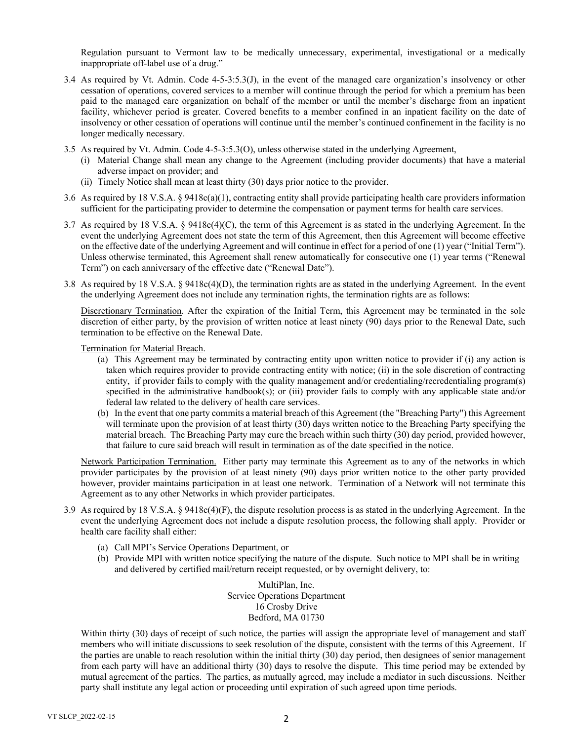Regulation pursuant to Vermont law to be medically unnecessary, experimental, investigational or a medically inappropriate off-label use of a drug."

- 3.4 As required by Vt. Admin. Code 4-5-3:5.3(J), in the event of the managed care organization's insolvency or other cessation of operations, covered services to a member will continue through the period for which a premium has been paid to the managed care organization on behalf of the member or until the member's discharge from an inpatient facility, whichever period is greater. Covered benefits to a member confined in an inpatient facility on the date of insolvency or other cessation of operations will continue until the member's continued confinement in the facility is no longer medically necessary.
- 3.5 As required by Vt. Admin. Code 4-5-3:5.3(O), unless otherwise stated in the underlying Agreement,
	- (i) Material Change shall mean any change to the Agreement (including provider documents) that have a material adverse impact on provider; and
	- (ii) Timely Notice shall mean at least thirty (30) days prior notice to the provider.
- 3.6 As required by 18 V.S.A. § 9418c(a)(1), contracting entity shall provide participating health care providers information sufficient for the participating provider to determine the compensation or payment terms for health care services.
- 3.7 As required by 18 V.S.A. § 9418c(4)(C), the term of this Agreement is as stated in the underlying Agreement. In the event the underlying Agreement does not state the term of this Agreement, then this Agreement will become effective on the effective date of the underlying Agreement and will continue in effect for a period of one (1) year ("Initial Term"). Unless otherwise terminated, this Agreement shall renew automatically for consecutive one (1) year terms ("Renewal Term") on each anniversary of the effective date ("Renewal Date").
- 3.8 As required by 18 V.S.A. § 9418c(4)(D), the termination rights are as stated in the underlying Agreement. In the event the underlying Agreement does not include any termination rights, the termination rights are as follows:

Discretionary Termination. After the expiration of the Initial Term, this Agreement may be terminated in the sole discretion of either party, by the provision of written notice at least ninety (90) days prior to the Renewal Date, such termination to be effective on the Renewal Date.

#### Termination for Material Breach.

- (a) This Agreement may be terminated by contracting entity upon written notice to provider if (i) any action is taken which requires provider to provide contracting entity with notice; (ii) in the sole discretion of contracting entity, if provider fails to comply with the quality management and/or credentialing/recredentialing program(s) specified in the administrative handbook(s); or (iii) provider fails to comply with any applicable state and/or federal law related to the delivery of health care services.
- (b) In the event that one party commits a material breach of this Agreement (the "Breaching Party") this Agreement will terminate upon the provision of at least thirty (30) days written notice to the Breaching Party specifying the material breach. The Breaching Party may cure the breach within such thirty (30) day period, provided however, that failure to cure said breach will result in termination as of the date specified in the notice.

Network Participation Termination. Either party may terminate this Agreement as to any of the networks in which provider participates by the provision of at least ninety (90) days prior written notice to the other party provided however, provider maintains participation in at least one network. Termination of a Network will not terminate this Agreement as to any other Networks in which provider participates.

- 3.9 As required by 18 V.S.A. § 9418c(4)(F), the dispute resolution process is as stated in the underlying Agreement. In the event the underlying Agreement does not include a dispute resolution process, the following shall apply. Provider or health care facility shall either:
	- (a) Call MPI's Service Operations Department, or
	- (b) Provide MPI with written notice specifying the nature of the dispute. Such notice to MPI shall be in writing and delivered by certified mail/return receipt requested, or by overnight delivery, to:

MultiPlan, Inc. Service Operations Department 16 Crosby Drive Bedford, MA 01730

Within thirty (30) days of receipt of such notice, the parties will assign the appropriate level of management and staff members who will initiate discussions to seek resolution of the dispute, consistent with the terms of this Agreement. If the parties are unable to reach resolution within the initial thirty (30) day period, then designees of senior management from each party will have an additional thirty (30) days to resolve the dispute. This time period may be extended by mutual agreement of the parties. The parties, as mutually agreed, may include a mediator in such discussions. Neither party shall institute any legal action or proceeding until expiration of such agreed upon time periods.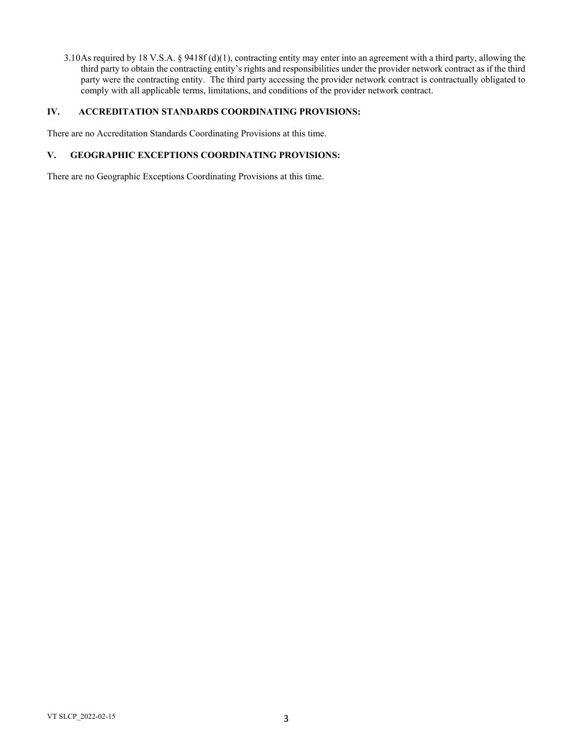3.10As required by 18 V.S.A. § 9418f (d)(1), contracting entity may enter into an agreement with a third party, allowing the third party to obtain the contracting entity's rights and responsibilities under the provider network contract as if the third party were the contracting entity. The third party accessing the provider network contract is contractually obligated to comply with all applicable terms, limitations, and conditions of the provider network contract.

## **IV. ACCREDITATION STANDARDS COORDINATING PROVISIONS:**

There are no Accreditation Standards Coordinating Provisions at this time.

# **V. GEOGRAPHIC EXCEPTIONS COORDINATING PROVISIONS:**

There are no Geographic Exceptions Coordinating Provisions at this time.